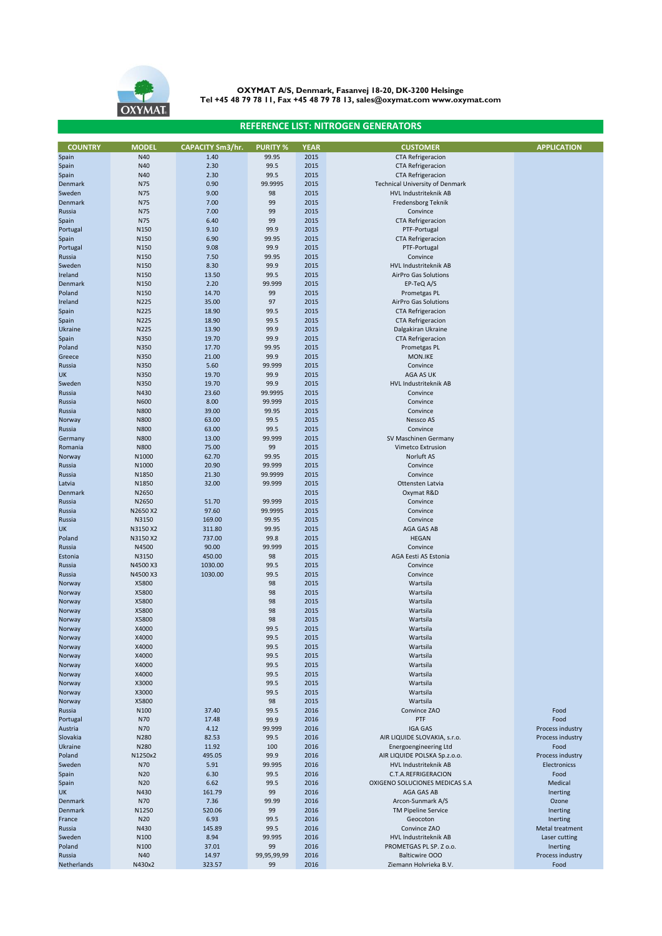

## **REFERENCE LIST: NITROGEN GENERATORS**

| <b>COUNTRY</b>    | <b>MODEL</b>        | CAPACITY Sm3/hr. | <b>PURITY %</b>   | <b>YEAR</b>  | <b>CUSTOMER</b>                                       | <b>APPLICATION</b>               |
|-------------------|---------------------|------------------|-------------------|--------------|-------------------------------------------------------|----------------------------------|
| Spain             | N40<br>N40          | 1.40<br>2.30     | 99.95<br>99.5     | 2015<br>2015 | <b>CTA Refrigeracion</b><br><b>CTA Refrigeracion</b>  |                                  |
| Spain<br>Spain    | N40                 | 2.30             | 99.5              | 2015         | <b>CTA Refrigeracion</b>                              |                                  |
| Denmark           | N75                 | 0.90             | 99.9995           | 2015         | <b>Technical University of Denmark</b>                |                                  |
| Sweden            | N75                 | 9.00             | 98                | 2015         | HVL Industriteknik AB                                 |                                  |
| Denmark           | N75                 | 7.00             | 99                | 2015         | Fredensborg Teknik                                    |                                  |
| Russia            | N75                 | 7.00             | 99                | 2015         | Convince                                              |                                  |
| Spain             | N75                 | 6.40             | 99                | 2015         | <b>CTA Refrigeracion</b>                              |                                  |
| Portugal          | N150                | 9.10             | 99.9              | 2015         | PTF-Portugal                                          |                                  |
| Spain<br>Portugal | N150<br>N150        | 6.90<br>9.08     | 99.95<br>99.9     | 2015<br>2015 | <b>CTA Refrigeracion</b><br>PTF-Portugal              |                                  |
| Russia            | N <sub>150</sub>    | 7.50             | 99.95             | 2015         | Convince                                              |                                  |
| Sweden            | N150                | 8.30             | 99.9              | 2015         | HVL Industriteknik AB                                 |                                  |
| Ireland           | N150                | 13.50            | 99.5              | 2015         | AirPro Gas Solutions                                  |                                  |
| Denmark           | N150                | 2.20             | 99.999            | 2015         | EP-TeQ A/S                                            |                                  |
| Poland            | N150                | 14.70            | 99                | 2015         | Prometgas PL                                          |                                  |
| Ireland           | N225                | 35.00            | 97                | 2015         | AirPro Gas Solutions                                  |                                  |
| Spain             | N225                | 18.90            | 99.5              | 2015         | <b>CTA Refrigeracion</b>                              |                                  |
| Spain<br>Ukraine  | N225<br>N225        | 18.90<br>13.90   | 99.5<br>99.9      | 2015<br>2015 | <b>CTA Refrigeracion</b><br>Dalgakiran Ukraine        |                                  |
| Spain             | N350                | 19.70            | 99.9              | 2015         | <b>CTA Refrigeracion</b>                              |                                  |
| Poland            | N350                | 17.70            | 99.95             | 2015         | Prometgas PL                                          |                                  |
| Greece            | N350                | 21.00            | 99.9              | 2015         | <b>MON.IKE</b>                                        |                                  |
| Russia            | N350                | 5.60             | 99.999            | 2015         | Convince                                              |                                  |
| UK                | N350                | 19.70            | 99.9              | 2015         | AGA AS UK                                             |                                  |
| Sweden            | N350                | 19.70            | 99.9              | 2015         | HVL Industriteknik AB                                 |                                  |
| Russia            | N430                | 23.60            | 99.9995           | 2015         | Convince                                              |                                  |
| Russia            | N600                | 8.00             | 99.999            | 2015         | Convince                                              |                                  |
| Russia            | N800<br><b>N800</b> | 39.00<br>63.00   | 99.95<br>99.5     | 2015<br>2015 | Convince<br>Nessco AS                                 |                                  |
| Norway<br>Russia  | <b>N800</b>         | 63.00            | 99.5              | 2015         | Convince                                              |                                  |
| Germany           | N800                | 13.00            | 99.999            | 2015         | SV Maschinen Germany                                  |                                  |
| Romania           | N800                | 75.00            | 99                | 2015         | Vimetco Extrusion                                     |                                  |
| Norway            | N1000               | 62.70            | 99.95             | 2015         | Norluft AS                                            |                                  |
| Russia            | N1000               | 20.90            | 99.999            | 2015         | Convince                                              |                                  |
| Russia            | N1850               | 21.30            | 99.9999           | 2015         | Convince                                              |                                  |
| Latvia            | N1850               | 32.00            | 99.999            | 2015         | Ottensten Latvia                                      |                                  |
| Denmark           | N2650               |                  |                   | 2015         | Oxymat R&D                                            |                                  |
| Russia<br>Russia  | N2650<br>N2650 X2   | 51.70<br>97.60   | 99.999<br>99.9995 | 2015<br>2015 | Convince<br>Convince                                  |                                  |
| Russia            | N3150               | 169.00           | 99.95             | 2015         | Convince                                              |                                  |
| <b>UK</b>         | N3150 X2            | 311.80           | 99.95             | 2015         | AGA GAS AB                                            |                                  |
| Poland            | N3150 X2            | 737.00           | 99.8              | 2015         | <b>HEGAN</b>                                          |                                  |
| Russia            | N4500               | 90.00            | 99.999            | 2015         | Convince                                              |                                  |
| Estonia           | N3150               | 450.00           | 98                | 2015         | AGA Eesti AS Estonia                                  |                                  |
| Russia            | N4500 X3            | 1030.00          | 99.5              | 2015         | Convince                                              |                                  |
| Russia            | N4500 X3            | 1030.00          | 99.5              | 2015         | Convince                                              |                                  |
| Norway<br>Norway  | X5800<br>X5800      |                  | 98<br>98          | 2015<br>2015 | Wartsila<br>Wartsila                                  |                                  |
| Norway            | X5800               |                  | 98                | 2015         | Wartsila                                              |                                  |
| Norway            | X5800               |                  | 98                | 2015         | Wartsila                                              |                                  |
| Norway            | X5800               |                  | 98                | 2015         | Wartsila                                              |                                  |
| Norway            | X4000               |                  | 99.5              | 2015         | Wartsila                                              |                                  |
| Norway            | X4000               |                  | 99.5              | 2015         | Wartsila                                              |                                  |
| Norway            | X4000               |                  | 99.5              | 2015         | Wartsila                                              |                                  |
| Norway            | X4000               |                  | 99.5              | 2015         | Wartsila                                              |                                  |
| Norway<br>Norway  | X4000<br>X4000      |                  | 99.5<br>99.5      | 2015<br>2015 | Wartsila<br>Wartsila                                  |                                  |
| Norway            | X3000               |                  | 99.5              | 2015         | Wartsila                                              |                                  |
| Norway            | X3000               |                  | 99.5              | 2015         | Wartsila                                              |                                  |
| Norway            | X5800               |                  | 98                | 2015         | Wartsila                                              |                                  |
| Russia            | N100                | 37.40            | 99.5              | 2016         | Convince ZAO                                          | Food                             |
| Portugal          | N70                 | 17.48            | 99.9              | 2016         | PTF                                                   | Food                             |
| Austria           | N70                 | 4.12             | 99.999            | 2016         | <b>IGA GAS</b>                                        | Process industry                 |
| Slovakia          | N280                | 82.53            | 99.5              | 2016         | AIR LIQUIDE SLOVAKIA, s.r.o.                          | Process industry                 |
| Ukraine           | N280<br>N1250x2     | 11.92<br>495.05  | 100<br>99.9       | 2016<br>2016 | <b>Energoengineering Ltd</b>                          | Food                             |
| Poland<br>Sweden  | N70                 | 5.91             | 99.995            | 2016         | AIR LIQUIDE POLSKA Sp.z.o.o.<br>HVL Industriteknik AB | Process industry<br>Electronicss |
| Spain             | N20                 | 6.30             | 99.5              | 2016         | C.T.A.REFRIGERACION                                   | Food                             |
| Spain             | N20                 | 6.62             | 99.5              | 2016         | OXIGENO SOLUCIONES MEDICAS S.A                        | Medical                          |
| <b>UK</b>         | N430                | 161.79           | 99                | 2016         | AGA GAS AB                                            | Inerting                         |
| Denmark           | <b>N70</b>          | 7.36             | 99.99             | 2016         | Arcon-Sunmark A/S                                     | Ozone                            |
| Denmark           | N1250               | 520.06           | 99                | 2016         | <b>TM Pipeline Service</b>                            | Inerting                         |
| France            | N20                 | 6.93             | 99.5              | 2016         | Geocoton                                              | Inerting                         |
| Russia            | N430                | 145.89           | 99.5              | 2016         | Convince ZAO                                          | Metal treatment                  |
| Sweden            | N100                | 8.94             | 99.995            | 2016         | HVL Industriteknik AB                                 | Laser cutting                    |
| Poland<br>Russia  | N100<br>N40         | 37.01<br>14.97   | 99<br>99,95,99,99 | 2016<br>2016 | PROMETGAS PL SP. Z o.o.<br><b>Balticwire OOO</b>      | Inerting<br>Process industry     |
| Netherlands       | N430x2              | 323.57           | 99                | 2016         | Ziemann Holvrieka B.V.                                | Food                             |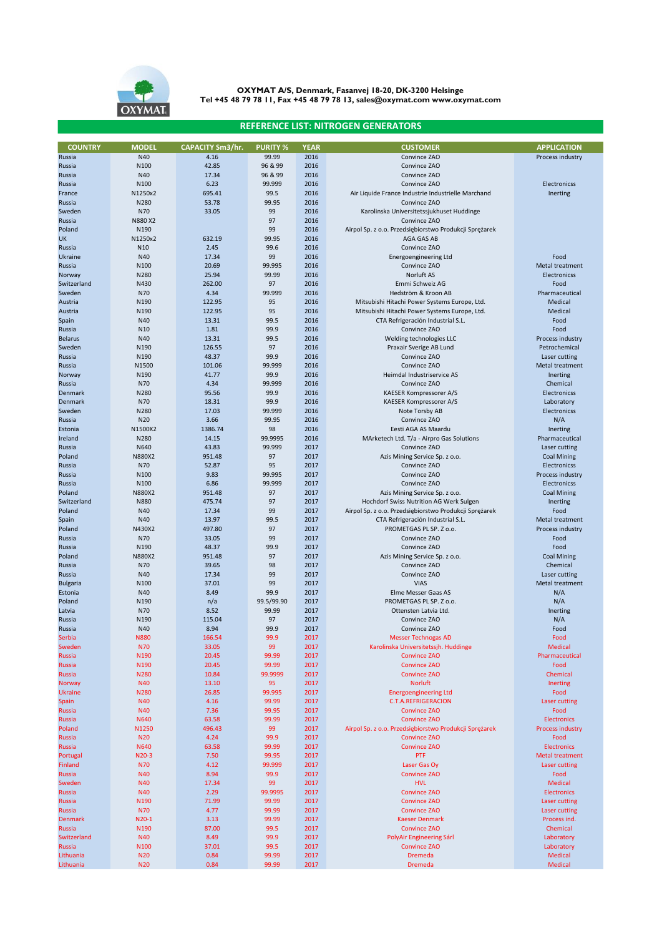

## **REFERENCE LIST: NITROGEN GENERATORS**

| <b>COUNTRY</b>  | <b>MODEL</b>     | <b>CAPACITY Sm3/hr.</b> | <b>PURITY %</b> | <b>YEAR</b> | <b>CUSTOMER</b>                                        | <b>APPLICATION</b>      |
|-----------------|------------------|-------------------------|-----------------|-------------|--------------------------------------------------------|-------------------------|
| Russia          | N40              | 4.16                    | 99.99           | 2016        | Convince ZAO                                           | Process industry        |
| Russia          | N100             | 42.85                   | 96 & 99         | 2016        | Convince ZAO                                           |                         |
| Russia          | N40              | 17.34                   | 96 & 99         | 2016        | Convince ZAO                                           |                         |
|                 | N100             | 6.23                    | 99.999          | 2016        | Convince ZAO                                           | Electronicss            |
| Russia          |                  |                         |                 |             |                                                        |                         |
| France          | N1250x2          | 695.41                  | 99.5            | 2016        | Air Liquide France Industrie Industrielle Marchand     | Inerting                |
| Russia          | N280             | 53.78                   | 99.95           | 2016        | Convince ZAO                                           |                         |
| Sweden          | N70              | 33.05                   | 99              | 2016        | Karolinska Universitetssjukhuset Huddinge              |                         |
| Russia          | N880 X2          |                         | 97              | 2016        | Convince ZAO                                           |                         |
| Poland          | N190             |                         | 99              | 2016        | Airpol Sp. z o.o. Przedsiębiorstwo Produkcji Sprężarek |                         |
| <b>UK</b>       | N1250x2          | 632.19                  | 99.95           | 2016        | AGA GAS AB                                             |                         |
| Russia          | N <sub>10</sub>  | 2.45                    | 99.6            | 2016        | Convince ZAO                                           |                         |
|                 |                  |                         |                 |             |                                                        |                         |
| Ukraine         | N40              | 17.34                   | 99              | 2016        | <b>Energoengineering Ltd</b>                           | Food                    |
| Russia          | N100             | 20.69                   | 99.995          | 2016        | Convince ZAO                                           | Metal treatment         |
| Norway          | N280             | 25.94                   | 99.99           | 2016        | Norluft AS                                             | <b>Electronicss</b>     |
| Switzerland     | N430             | 262.00                  | 97              | 2016        | Emmi Schweiz AG                                        | Food                    |
| Sweden          | N70              | 4.34                    | 99.999          | 2016        | Hedström & Kroon AB                                    | Pharmaceutical          |
| Austria         | N <sub>190</sub> | 122.95                  | 95              | 2016        | Mitsubishi Hitachi Power Systems Europe, Ltd.          | Medical                 |
|                 | N190             | 122.95                  |                 | 2016        |                                                        | Medical                 |
| Austria         |                  |                         | 95              |             | Mitsubishi Hitachi Power Systems Europe, Ltd.          |                         |
| Spain           | N40              | 13.31                   | 99.5            | 2016        | CTA Refrigeración Industrial S.L.                      | Food                    |
| Russia          | N10              | 1.81                    | 99.9            | 2016        | Convince ZAO                                           | Food                    |
| <b>Belarus</b>  | N40              | 13.31                   | 99.5            | 2016        | Welding technologies LLC                               | Process industry        |
| Sweden          | N190             | 126.55                  | 97              | 2016        | Praxair Sverige AB Lund                                | Petrochemical           |
| Russia          | N190             | 48.37                   | 99.9            | 2016        | Convince ZAO                                           | Laser cutting           |
| Russia          | N1500            | 101.06                  | 99.999          | 2016        | Convince ZAO                                           | Metal treatment         |
|                 |                  |                         |                 |             |                                                        |                         |
| Norway          | N190             | 41.77                   | 99.9            | 2016        | Heimdal Industriservice AS                             | Inerting                |
| Russia          | N70              | 4.34                    | 99.999          | 2016        | Convince ZAO                                           | Chemical                |
| Denmark         | N280             | 95.56                   | 99.9            | 2016        | KAESER Kompressorer A/S                                | <b>Electronicss</b>     |
| Denmark         | N70              | 18.31                   | 99.9            | 2016        | KAESER Kompressorer A/S                                | Laboratory              |
| Sweden          | N280             | 17.03                   | 99.999          | 2016        | Note Torsby AB                                         | Electronicss            |
| Russia          | N <sub>20</sub>  | 3.66                    | 99.95           | 2016        | Convince ZAO                                           | N/A                     |
| Estonia         | N1500X2          | 1386.74                 | 98              | 2016        | Eesti AGA AS Maardu                                    | Inerting                |
|                 |                  |                         |                 |             |                                                        |                         |
| Ireland         | N280             | 14.15                   | 99.9995         | 2016        | MArketech Ltd. T/a - Airpro Gas Solutions              | Pharmaceutical          |
| Russia          | N640             | 43.83                   | 99.999          | 2017        | Convince ZAO                                           | Laser cutting           |
| Poland          | N880X2           | 951.48                  | 97              | 2017        | Azis Mining Service Sp. z o.o.                         | <b>Coal Mining</b>      |
| Russia          | N70              | 52.87                   | 95              | 2017        | Convince ZAO                                           | <b>Electronicss</b>     |
| Russia          | N100             | 9.83                    | 99.995          | 2017        | Convince ZAO                                           | Process industry        |
| Russia          | N <sub>100</sub> | 6.86                    | 99.999          | 2017        | Convince ZAO                                           | Electronicss            |
|                 |                  |                         |                 |             |                                                        |                         |
| Poland          | N880X2           | 951.48                  | 97              | 2017        | Azis Mining Service Sp. z o.o.                         | <b>Coal Mining</b>      |
| Switzerland     | <b>N880</b>      | 475.74                  | 97              | 2017        | Hochdorf Swiss Nutrition AG Werk Sulgen                | Inerting                |
| Poland          | N40              | 17.34                   | 99              | 2017        | Airpol Sp. z o.o. Przedsiębiorstwo Produkcji Sprężarek | Food                    |
| Spain           | N40              | 13.97                   | 99.5            | 2017        | CTA Refrigeración Industrial S.L.                      | Metal treatment         |
| Poland          | N430X2           | 497.80                  | 97              | 2017        | PROMETGAS PL SP. Z o.o.                                | Process industry        |
| Russia          | N70              | 33.05                   | 99              | 2017        | Convince ZAO                                           | Food                    |
| Russia          | N <sub>190</sub> | 48.37                   | 99.9            | 2017        | Convince ZAO                                           | Food                    |
|                 |                  |                         | 97              |             |                                                        |                         |
| Poland          | N880X2           | 951.48                  |                 | 2017        | Azis Mining Service Sp. z o.o.                         | <b>Coal Mining</b>      |
| Russia          | N70              | 39.65                   | 98              | 2017        | Convince ZAO                                           | Chemical                |
| Russia          | N40              | 17.34                   | 99              | 2017        | Convince ZAO                                           | Laser cutting           |
| <b>Bulgaria</b> | N <sub>100</sub> | 37.01                   | 99              | 2017        | <b>VIAS</b>                                            | <b>Metal treatment</b>  |
| Estonia         | N40              | 8.49                    | 99.9            | 2017        | Elme Messer Gaas AS                                    | N/A                     |
| Poland          | N190             | n/a                     | 99.5/99.90      | 2017        | PROMETGAS PL SP. Z o.o.                                | N/A                     |
|                 | N70              | 8.52                    | 99.99           | 2017        |                                                        | Inerting                |
| Latvia          |                  |                         |                 |             | Ottensten Latvia Ltd.                                  |                         |
| Russia          | N190             | 115.04                  | 97              | 2017        | Convince ZAO                                           | N/A                     |
| Russia          | N40              | 8.94                    | 99.9            | 2017        | Convince ZAO                                           | Food                    |
| Serbia          | <b>N880</b>      | 166.54                  | 99.9            | 2017        | <b>Messer Technogas AD</b>                             | Food                    |
| Sweden          | <b>N70</b>       | 33.05                   | 99              | 2017        | Karolinska Universitetssjh. Huddinge                   | <b>Medical</b>          |
| Russia          | N190             | 20.45                   | 99.99           | 2017        | <b>Convince ZAO</b>                                    | Pharmaceutical          |
| <b>Russia</b>   | N190             | 20.45                   | 99.99           | 2017        | <b>Convince ZAO</b>                                    | Food                    |
| Russia          | <b>N280</b>      | 10.84                   | 99.9999         | 2017        | <b>Convince ZAO</b>                                    | Chemical                |
|                 |                  |                         |                 |             |                                                        |                         |
| Norway          | <b>N40</b>       | 13.10                   | 95              | 2017        | <b>Norluft</b>                                         | Inerting                |
| <b>Ukraine</b>  | N280             | 26.85                   | 99.995          | 2017        | <b>Energoengineering Ltd</b>                           | Food                    |
| <b>Spain</b>    | <b>N40</b>       | 4.16                    | 99.99           | 2017        | <b>C.T.A.REFRIGERACION</b>                             | Laser cutting           |
| Russia          | N40              | 7.36                    | 99.95           | 2017        | <b>Convince ZAO</b>                                    | Food                    |
| Russia          | N640             | 63.58                   | 99.99           | 2017        | <b>Convince ZAO</b>                                    | <b>Electronics</b>      |
| Poland          | N1250            | 496.43                  | 99              | 2017        | Airpol Sp. z o.o. Przedsiębiorstwo Produkcji Sprężarek | <b>Process industry</b> |
|                 |                  |                         |                 |             | <b>Convince ZAO</b>                                    |                         |
| Russia          | <b>N20</b>       | 4.24                    | 99.9            | 2017        |                                                        | Food                    |
| Russia          | N640             | 63.58                   | 99.99           | 2017        | <b>Convince ZAO</b>                                    | <b>Electronics</b>      |
| Portugal        | N20-3            | 7.50                    | 99.95           | 2017        | PTF                                                    | <b>Metal treatment</b>  |
| Finland         | <b>N70</b>       | 4.12                    | 99.999          | 2017        | Laser Gas Oy                                           | Laser cutting           |
| Russia          | N40              | 8.94                    | 99.9            | 2017        | <b>Convince ZAO</b>                                    | Food                    |
| Sweden          | <b>N40</b>       | 17.34                   | 99              | 2017        | <b>HVL</b>                                             | <b>Medical</b>          |
| Russia          | N40              | 2.29                    | 99.9995         | 2017        | <b>Convince ZAO</b>                                    | Electronics             |
|                 |                  |                         |                 |             |                                                        |                         |
| Russia          | N190             | 71.99                   | 99.99           | 2017        | <b>Convince ZAO</b>                                    | Laser cutting           |
| Russia          | <b>N70</b>       | 4.77                    | 99.99           | 2017        | <b>Convince ZAO</b>                                    | Laser cutting           |
| <b>Denmark</b>  | $N20-1$          | 3.13                    | 99.99           | 2017        | <b>Kaeser Denmark</b>                                  | Process ind.            |
| Russia          | N190             | 87.00                   | 99.5            | 2017        | <b>Convince ZAO</b>                                    | Chemical                |
| Switzerland     | N40              | 8.49                    | 99.9            | 2017        | PolyAir Engineering Sárl                               | Laboratory              |
| Russia          | N <sub>100</sub> | 37.01                   | 99.5            | 2017        | <b>Convince ZAO</b>                                    | Laboratory              |
|                 |                  |                         |                 |             |                                                        |                         |
| Lithuania       | <b>N20</b>       | 0.84                    | 99.99           | 2017        | <b>Dremeda</b>                                         | Medical                 |
| Lithuania       | <b>N20</b>       | 0.84                    | 99.99           | 2017        | Dremeda                                                | <b>Medical</b>          |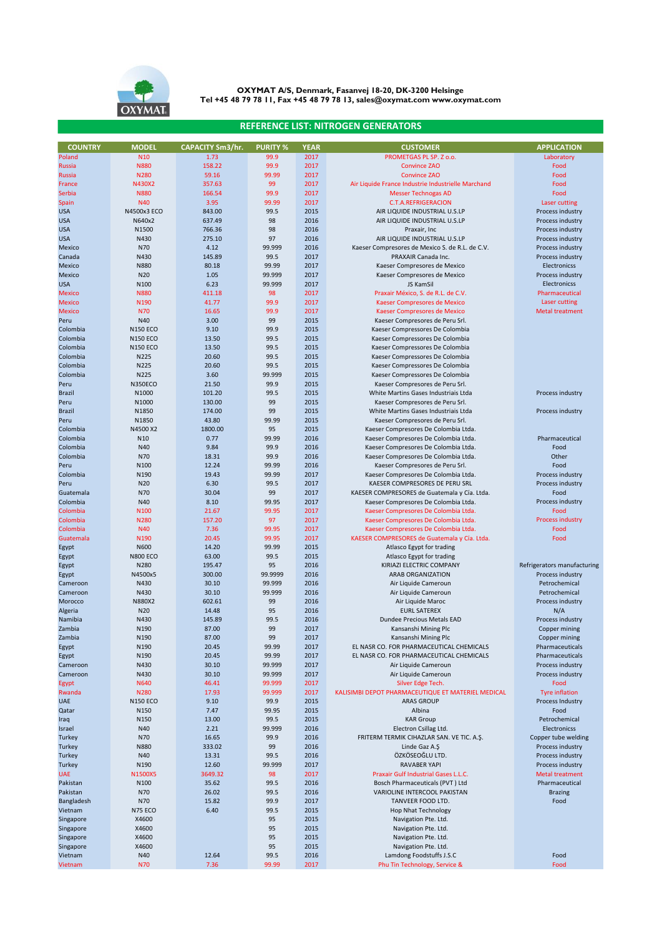

## **REFERENCE LIST: NITROGEN GENERATORS**

| <b>COUNTRY</b> | <b>MODEL</b>     | <b>CAPACITY Sm3/hr.</b> | <b>PURITY %</b> | <b>YEAR</b> | <b>CUSTOMER</b>                                    | <b>APPLICATION</b>          |
|----------------|------------------|-------------------------|-----------------|-------------|----------------------------------------------------|-----------------------------|
| Poland         | N <sub>10</sub>  | 1.73                    | 99.9            | 2017        | PROMETGAS PL SP, Z o.o.                            | Laboratory                  |
| <b>Russia</b>  | <b>N880</b>      | 158.22                  | 99.9            | 2017        | <b>Convince ZAO</b>                                | Food                        |
| <b>Russia</b>  | N280             | 59.16                   | 99.99           | 2017        | <b>Convince ZAO</b>                                | Food                        |
|                | N430X2           | 357.63                  | 99              | 2017        | Air Liquide France Industrie Industrielle Marchand | Food                        |
| France         |                  |                         |                 |             |                                                    |                             |
| Serbia         | <b>N880</b>      | 166.54                  | 99.9            | 2017        | <b>Messer Technogas AD</b>                         | Food                        |
| Spain          | <b>N40</b>       | 3.95                    | 99.99           | 2017        | <b>C.T.A.REFRIGERACION</b>                         | Laser cutting               |
| <b>USA</b>     | N4500x3 ECO      | 843.00                  | 99.5            | 2015        | AIR LIQUIDE INDUSTRIAL U.S.LP                      | Process industry            |
| <b>USA</b>     | N640x2           | 637.49                  | 98              | 2016        | AIR LIQUIDE INDUSTRIAL U.S.LP                      | Process industry            |
| <b>USA</b>     | N1500            | 766.36                  | 98              | 2016        | Praxair, Inc                                       | Process industry            |
| <b>USA</b>     | N430             | 275.10                  | 97              | 2016        | AIR LIQUIDE INDUSTRIAL U.S.LP                      | Process industry            |
| Mexico         | N70              | 4.12                    | 99.999          | 2016        | Kaeser Compresores de Mexico S. de R.L. de C.V.    | Process industry            |
|                |                  |                         |                 |             |                                                    |                             |
| Canada         | N430             | 145.89                  | 99.5            | 2017        | PRAXAIR Canada Inc.                                | Process industry            |
| Mexico         | <b>N880</b>      | 80.18                   | 99.99           | 2017        | Kaeser Compresores de Mexico                       | Electronicss                |
| Mexico         | N20              | 1.05                    | 99.999          | 2017        | Kaeser Compresores de Mexico                       | Process industry            |
| <b>USA</b>     | N100             | 6.23                    | 99.999          | 2017        | JS KamSil                                          | Electronicss                |
| <b>Mexico</b>  | <b>N880</b>      | 411.18                  | 98              | 2017        | Praxair México, S. de R.L. de C.V.                 | Pharmaceutical              |
| <b>Mexico</b>  | N <sub>190</sub> | 41.77                   | 99.9            | 2017        | Kaeser Compresores de Mexico                       | Laser cutting               |
|                |                  |                         |                 |             |                                                    |                             |
| <b>Mexico</b>  | <b>N70</b>       | 16.65                   | 99.9            | 2017        | Kaeser Compresores de Mexico                       | <b>Metal treatment</b>      |
| Peru           | N40              | 3.00                    | 99              | 2015        | Kaeser Compresores de Peru Srl.                    |                             |
| Colombia       | <b>N150 ECO</b>  | 9.10                    | 99.9            | 2015        | Kaeser Compressores De Colombia                    |                             |
| Colombia       | <b>N150 ECO</b>  | 13.50                   | 99.5            | 2015        | Kaeser Compressores De Colombia                    |                             |
| Colombia       | <b>N150 ECO</b>  | 13.50                   | 99.5            | 2015        | Kaeser Compressores De Colombia                    |                             |
| Colombia       | N225             | 20.60                   | 99.5            | 2015        | Kaeser Compressores De Colombia                    |                             |
| Colombia       | N225             | 20.60                   | 99.5            | 2015        |                                                    |                             |
|                |                  |                         |                 |             | Kaeser Compressores De Colombia                    |                             |
| Colombia       | N225             | 3.60                    | 99.999          | 2015        | Kaeser Compressores De Colombia                    |                             |
| Peru           | N350ECO          | 21.50                   | 99.9            | 2015        | Kaeser Compresores de Peru Srl.                    |                             |
| <b>Brazil</b>  | N1000            | 101.20                  | 99.5            | 2015        | White Martins Gases Industriais Ltda               | Process industry            |
| Peru           | N1000            | 130.00                  | 99              | 2015        | Kaeser Compresores de Peru Srl.                    |                             |
| <b>Brazil</b>  | N1850            | 174.00                  | 99              | 2015        | White Martins Gases Industriais Ltda               | Process industry            |
| Peru           | N1850            | 43.80                   | 99.99           | 2015        | Kaeser Compresores de Peru Srl.                    |                             |
|                |                  |                         |                 |             |                                                    |                             |
| Colombia       | N4500 X2         | 1800.00                 | 95              | 2015        | Kaeser Compresores De Colombia Ltda.               |                             |
| Colombia       | N <sub>10</sub>  | 0.77                    | 99.99           | 2016        | Kaeser Compresores De Colombia Ltda.               | Pharmaceutical              |
| Colombia       | N40              | 9.84                    | 99.9            | 2016        | Kaeser Compresores De Colombia Ltda.               | Food                        |
| Colombia       | N70              | 18.31                   | 99.9            | 2016        | Kaeser Compresores De Colombia Ltda.               | Other                       |
| Peru           | N <sub>100</sub> | 12.24                   | 99.99           | 2016        | Kaeser Compresores de Peru Srl.                    | Food                        |
| Colombia       | N190             | 19.43                   | 99.99           | 2017        | Kaeser Compresores De Colombia Ltda.               | Process industry            |
| Peru           | N <sub>20</sub>  | 6.30                    | 99.5            | 2017        | KAESER COMPRESORES DE PERU SRL                     | Process industry            |
| Guatemala      | N70              | 30.04                   | 99              | 2017        | KAESER COMPRESORES de Guatemala y Cía. Ltda.       | Food                        |
|                |                  |                         |                 |             |                                                    |                             |
| Colombia       | N40              | 8.10                    | 99.95           | 2017        | Kaeser Compresores De Colombia Ltda.               | Process industry            |
| Colombia       | N100             | 21.67                   | 99.95           | 2017        | Kaeser Compresores De Colombia Ltda.               | Food                        |
| Colombia       | <b>N280</b>      | 157.20                  | 97              | 2017        | Kaeser Compresores De Colombia Ltda.               | <b>Process industry</b>     |
| Colombia       | <b>N40</b>       | 7.36                    | 99.95           | 2017        | Kaeser Compresores De Colombia Ltda.               | Food                        |
| Guatemala      | N190             | 20.45                   | 99.95           | 2017        | KAESER COMPRESORES de Guatemala y Cía. Ltda.       | Food                        |
| Egypt          | N600             | 14.20                   | 99.99           | 2015        | Atlasco Egypt for trading                          |                             |
| Egypt          | <b>N800 ECO</b>  | 63.00                   | 99.5            | 2015        | Atlasco Egypt for trading                          |                             |
|                | N280             |                         | 95              | 2016        |                                                    |                             |
| Egypt          |                  | 195.47                  |                 |             | KIRIAZI ELECTRIC COMPANY                           | Refrigerators manufacturing |
| Egypt          | N4500x5          | 300.00                  | 99.9999         | 2016        | <b>ARAB ORGANIZATION</b>                           | Process industry            |
| Cameroon       | N430             | 30.10                   | 99.999          | 2016        | Air Liquide Cameroun                               | Petrochemical               |
| Cameroon       | N430             | 30.10                   | 99.999          | 2016        | Air Liquide Cameroun                               | Petrochemical               |
| Morocco        | N880X2           | 602.61                  | 99              | 2016        | Air Liquide Maroc                                  | Process industry            |
| Algeria        | N20              | 14.48                   | 95              | 2016        | <b>EURL SATEREX</b>                                | N/A                         |
| Namibia        | N430             | 145.89                  | 99.5            | 2016        | Dundee Precious Metals EAD                         | Process industry            |
| Zambia         | N190             | 87.00                   | 99              | 2017        | Kansanshi Mining Plc                               | Copper mining               |
|                |                  |                         |                 |             |                                                    |                             |
| Zambia         | N190             | 87.00                   | 99              | 2017        | Kansanshi Mining Plc                               | Copper mining               |
| Egypt          | N190             | 20.45                   | 99.99           | 2017        | EL NASR CO. FOR PHARMACEUTICAL CHEMICALS           | Pharmaceuticals             |
| Egypt          | N190             | 20.45                   | 99.99           | 2017        | EL NASR CO. FOR PHARMACEUTICAL CHEMICALS           | Pharmaceuticals             |
| Cameroon       | N430             | 30.10                   | 99.999          | 2017        | Air Liquide Cameroun                               | Process industry            |
| Cameroon       | N430             | 30.10                   | 99.999          | 2017        | Air Liquide Cameroun                               | Process industry            |
| Egypt          | <b>N640</b>      | 46.41                   | 99.999          | 2017        | Silver Edge Tech.                                  | Food                        |
| Rwanda         | <b>N280</b>      | 17.93                   | 99.999          | 2017        | KALISIMBI DEPOT PHARMACEUTIQUE ET MATERIEL MEDICAL | <b>Tyre inflation</b>       |
|                |                  |                         |                 |             |                                                    |                             |
| <b>UAE</b>     | <b>N150 ECO</b>  | 9.10                    | 99.9            | 2015        | <b>ARAS GROUP</b>                                  | Process Industry            |
| Qatar          | N150             | 7.47                    | 99.95           | 2015        | Albina                                             | Food                        |
| Iraq           | N150             | 13.00                   | 99.5            | 2015        | <b>KAR Group</b>                                   | Petrochemical               |
| Israel         | N40              | 2.21                    | 99.999          | 2016        | Electron Csillag Ltd.                              | Electronicss                |
| Turkey         | N70              | 16.65                   | 99.9            | 2016        | FRITERM TERMIK CIHAZLAR SAN. VE TIC. A.Ş.          | Copper tube welding         |
| Turkey         | <b>N880</b>      | 333.02                  | 99              | 2016        | Linde Gaz A.Ş                                      | Process industry            |
| Turkey         | N40              | 13.31                   | 99.5            | 2016        | ÖZKÖSEOĞLU LTD.                                    | Process industry            |
| Turkey         | N190             | 12.60                   | 99.999          | 2017        | <b>RAVABER YAPI</b>                                | Process industry            |
| <b>UAE</b>     | N1500X5          |                         |                 | 2017        | Praxair Gulf Industrial Gases L.L.C.               | <b>Metal treatment</b>      |
|                |                  | 3649.32                 | 98              |             |                                                    |                             |
| Pakistan       | N100             | 35.62                   | 99.5            | 2016        | Bosch Pharmaceuticals (PVT) Ltd                    | Pharmaceutical              |
| Pakistan       | N70              | 26.02                   | 99.5            | 2016        | VARIOLINE INTERCOOL PAKISTAN                       | <b>Brazing</b>              |
| Bangladesh     | N70              | 15.82                   | 99.9            | 2017        | TANVEER FOOD LTD.                                  | Food                        |
| Vietnam        | N75 ECO          | 6.40                    | 99.5            | 2015        | Hop Nhat Technology                                |                             |
| Singapore      | X4600            |                         | 95              | 2015        | Navigation Pte. Ltd.                               |                             |
| Singapore      | X4600            |                         | 95              | 2015        | Navigation Pte. Ltd.                               |                             |
|                |                  |                         | 95              |             |                                                    |                             |
| Singapore      | X4600            |                         |                 | 2015        | Navigation Pte. Ltd.                               |                             |
| Singapore      | X4600            |                         | 95              | 2015        | Navigation Pte. Ltd.                               |                             |
| Vietnam        | N40              | 12.64                   | 99.5            | 2016        | Lamdong Foodstuffs J.S.C                           | Food                        |
| Vietnam        | N70              | 7.36                    | 99.99           | 2017        | Phu Tin Technology, Service &                      | Food                        |